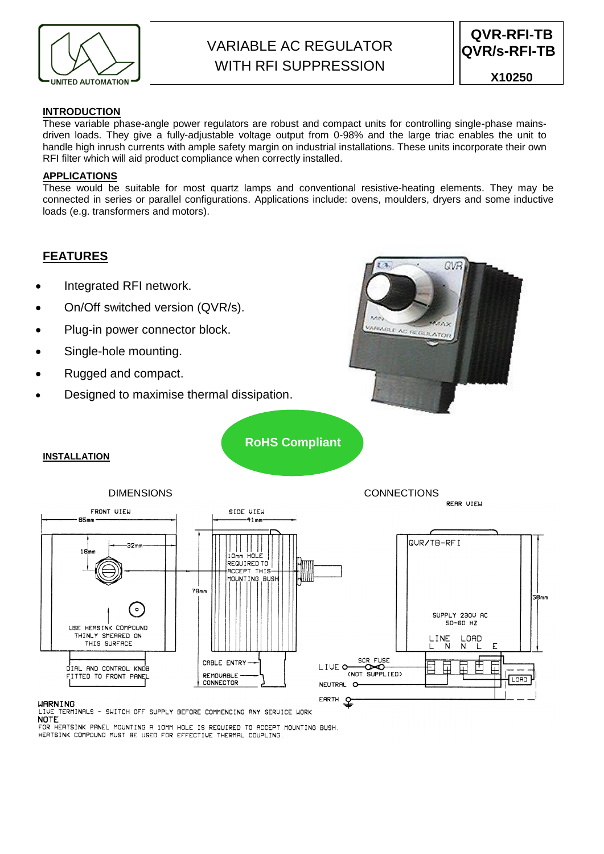

# VARIABLE AC REGULATOR WITH RFI SUPPRESSION

# **INTRODUCTION**

These variable phase-angle power regulators are robust and compact units for controlling single-phase mainsdriven loads. They give a fully-adjustable voltage output from 0-98% and the large triac enables the unit to handle high inrush currents with ample safety margin on industrial installations. These units incorporate their own RFI filter which will aid product compliance when correctly installed.

# **APPLICATIONS**

These would be suitable for most quartz lamps and conventional resistive-heating elements. They may be connected in series or parallel configurations. Applications include: ovens, moulders, dryers and some inductive loads (e.g. transformers and motors).

# **FEATURES**

- Integrated RFI network.
- On/Off switched version (QVR/s).
- Plug-in power connector block.
- Single-hole mounting.
- Rugged and compact.
- Designed to maximise thermal dissipation.



**RoHS Compliant**

## **INSTALLATION**



**WARNING** 

LIVE TERMINALS - SWITCH OFF SUPPLY BEFORE COMMENCING ANY SERVICE WORK<br>NOTE

FOR HEATSINK PANEL MOUNTING A 10MM HOLE IS REQUIRED TO ACCEPT MOUNTING BUSH. HERTSINK COMPOUND MUST BE USED FOR EFFECTIVE THERMAL COUPLING